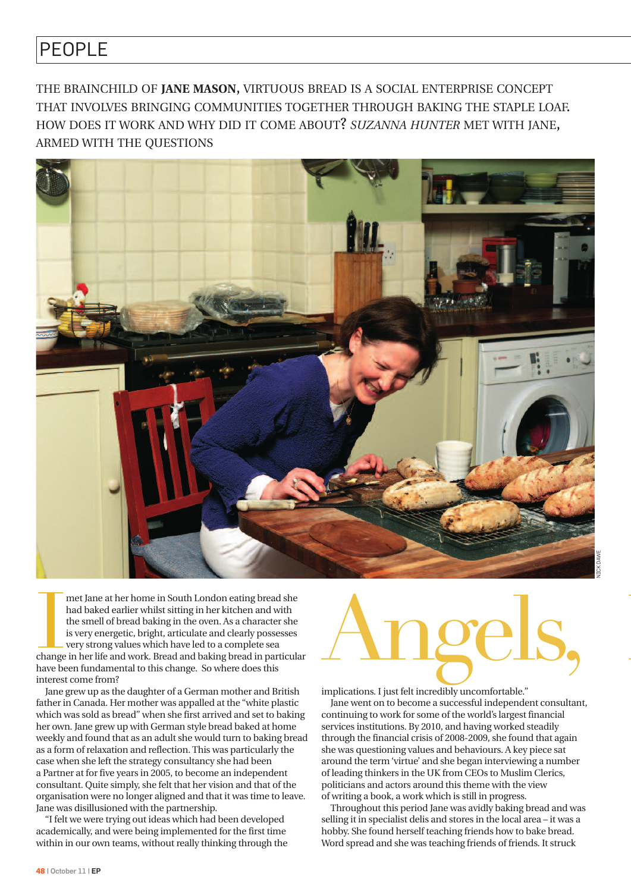## PEOPLE

THE BRAINCHILD OF **JANE MASON**, VIRTUOUS BREAD IS A SOCIAL ENTERPRISE CONCEPT THAT INVOLVES BRINGING COMMUNITIES TOGETHER THROUGH BAKING THE STAPLE LOAF. HOW DOES IT WORK AND WHY DID IT COME ABOUT? *SUZANNA HUNTER* MET WITH JANE, ARMED WITH THE QUESTIONS



met Jane at her home in South London eating bread she<br>had baked earlier whilst sitting in her kitchen and with<br>the smell of bread baking in the oven. As a character she<br>is very energetic, bright, articulate and clearly pos met Jane at her home in South London eating bread she had baked earlier whilst sitting in her kitchen and with the smell of bread baking in the oven. As a character she is very energetic, bright, articulate and clearly possesses very strong values which have led to a complete sea have been fundamental to this change. So where does this interest come from?

Jane grew up as the daughter of a German mother and British father in Canada. Her mother was appalled at the "white plastic which was sold as bread" when she first arrived and set to baking her own. Jane grew up with German style bread baked at home weekly and found that as an adult she would turn to baking bread as a form of relaxation and reflection. This was particularly the case when she left the strategy consultancy she had been a Partner at for five years in 2005, to become an independent consultant. Quite simply, she felt that her vision and that of the organisation were no longer aligned and that it was time to leave. Jane was disillusioned with the partnership.

"I felt we were trying out ideas which had been developed academically, and were being implemented for the first time within in our own teams, without really thinking through the

## Angels,

implications. I just felt incredibly uncomfortable."

Jane went on to become a successful independent consultant, continuing to work for some of the world's largest financial services institutions. By 2010, and having worked steadily through the financial crisis of 2008-2009, she found that again she was questioning values and behaviours. A key piece sat around the term 'virtue' and she began interviewing a number of leading thinkers in the UK from CEOs to Muslim Clerics, politicians and actors around this theme with the view of writing a book, a work which is still in progress.

Throughout this period Jane was avidly baking bread and was selling it in specialist delis and stores in the local area – it was a hobby. She found herself teaching friends how to bake bread. Word spread and she was teaching friends of friends. It struck